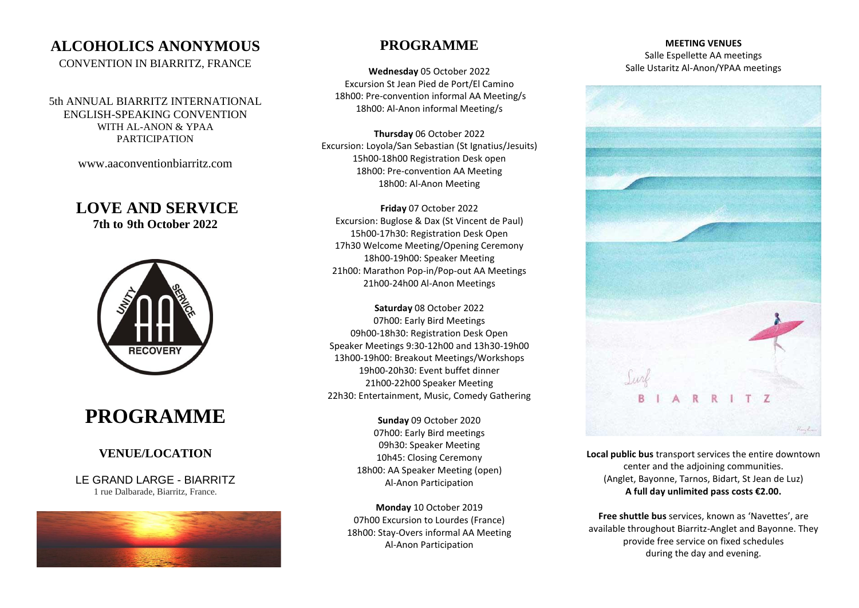## **ALCOHOLICS ANONYMOUS**

CONVENTION IN BIARRITZ, FRANCE

5th ANNUAL BIARRITZ INTERNATIONAL ENGLISH-SPEAKING CONVENTION WITH AL-ANON & YPAA PARTICIPATION

[www.aaconventionbiarritz.com](http://www.aaconventionbiarritz.com/)

### **LOVE AND SERVICE 7th to 9th October 2022**



# **PROGRAMME**

### **VENUE/LOCATION**

LE GRAND LARGE - BIARRITZ 1 rue Dalbarade, Biarritz, France.



### **PROGRAMME**

**Wednesday** 05 October 2022 Excursion St Jean Pied de Port/El Camino 18h00: Pre-convention informal AA Meeting/s 18h00: Al-Anon informal Meeting/s

**Thursday** 06 October 2022 Excursion: Loyola/San Sebastian (St Ignatius/Jesuits) 15h00-18h00 Registration Desk open 18h00: Pre-convention AA Meeting 18h00: Al-Anon Meeting

**Friday** 07 October 2022 Excursion: Buglose & Dax (St Vincent de Paul) 15h00-17h30: Registration Desk Open 17h30 Welcome Meeting/Opening Ceremony 18h00-19h00: Speaker Meeting 21h00: Marathon Pop-in/Pop-out AA Meetings 21h00-24h00 Al-Anon Meetings

**Saturday** 08 October 2022 07h00: Early Bird Meetings 09h00-18h30: Registration Desk Open Speaker Meetings 9:30-12h00 and 13h30-19h00 13h00-19h00: Breakout Meetings/Workshops 19h00-20h30: Event buffet dinner 21h00-22h00 Speaker Meeting 22h30: Entertainment, Music, Comedy Gathering

> **Sunday** 09 October 2020 07h00: Early Bird meetings 09h30: Speaker Meeting 10h45: Closing Ceremony 18h00: AA Speaker Meeting (open) Al-Anon Participation

**Monday** 10 October 2019 07h00 Excursion to Lourdes (France) 18h00: Stay-Overs informal AA Meeting Al-Anon Participation

#### **MEETING VENUES** Salle Espellette AA meetings Salle Ustaritz Al-Anon/YPAA meetings



**Local public bus** transport services the entire downtown center and the adjoining communities. (Anglet, Bayonne, Tarnos, Bidart, St Jean de Luz) **A full day unlimited pass costs €2.00.**

**Free shuttle bus** services, known as 'Navettes', are available throughout Biarritz-Anglet and Bayonne. They provide free service on fixed schedules during the day and evening.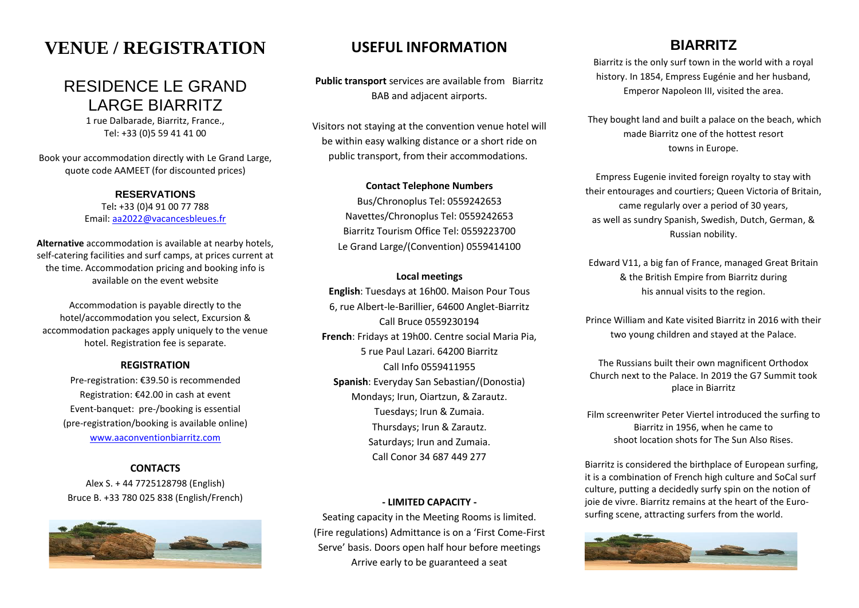# **VENUE / REGISTRATION**

## RESIDENCE LE GRAND LARGE BIARRITZ

1 rue Dalbarade, Biarritz, France., Tel: +33 (0)5 59 41 41 00

Book your accommodation directly with Le Grand Large, quote code AAMEET (for discounted prices)

> **RESERVATIONS** Tel**:** +33 (0)4 91 00 77 788 Email: [aa2022@vacancesbleues.fr](mailto:aa2021@vacancesbleues.fr?subject=AA%20CONVENTION%202020%20-%20KEEP%20IT%20SIMPLE%20-%20ENQUIRY-CODE%20AA2020)

**Alternative** accommodation is available at nearby hotels, self-catering facilities and surf camps, at prices current at the time. Accommodation pricing and booking info is available on the event website

Accommodation is payable directly to the hotel/accommodation you select, Excursion & accommodation packages apply uniquely to the venue hotel. Registration fee is separate.

#### **REGISTRATION**

Pre-registration: €39.50 is recommended Registration: €42.00 in cash at event Event-banquet: pre-/booking is essential (pre-registration/booking is available online) [www.aaconventionbiarritz.com](http://www.aaconventionbiarritz.com/)

#### **CONTACTS**

Alex S. + 44 7725128798 (English) Bruce B. +33 780 025 838 (English/French)



### **USEFUL INFORMATION**

**Public transport** services are available from Biarritz BAB and adjacent airports.

Visitors not staying at the convention venue hotel will be within easy walking distance or a short ride on public transport, from their accommodations.

#### **Contact Telephone Numbers**

Bus/Chronoplus Tel: 0559242653 Navettes/Chronoplus Tel: 0559242653 Biarritz Tourism Office Tel: 0559223700 Le Grand Large/(Convention) 0559414100

#### **Local meetings**

**English**: Tuesdays at 16h00. Maison Pour Tous 6, rue Albert-le-Barillier, 64600 Anglet-Biarritz Call Bruce 0559230194 **French**: Fridays at 19h00. Centre social Maria Pia, 5 rue Paul Lazari. 64200 Biarritz Call Info 0559411955 **Spanish**: Everyday San Sebastian/(Donostia) Mondays; Irun, Oiartzun, & Zarautz. Tuesdays; Irun & Zumaia. Thursdays; Irun & Zarautz. Saturdays; Irun and Zumaia. Call Conor 34 687 449 277

#### **- LIMITED CAPACITY -**

Seating capacity in the Meeting Rooms is limited. (Fire regulations) Admittance is on a 'First Come-First Serve' basis. Doors open half hour before meetings Arrive early to be guaranteed a seat

## **BIARRITZ**

Biarritz is the only surf town in the world with a royal history. In 1854, Empress Eugénie and her husband, Emperor Napoleon III, visited the area.

They bought land and built a palace on the beach, which made Biarritz one of the hottest resort towns in Europe.

Empress Eugenie invited foreign royalty to stay with their entourages and courtiers; Queen Victoria of Britain, came regularly over a period of 30 years, as well as sundry Spanish, Swedish, Dutch, German, & Russian nobility.

Edward V11, a big fan of France, managed Great Britain & the British Empire from Biarritz during his annual visits to the region.

Prince William and Kate visited Biarritz in 2016 with their two young children and stayed at the Palace.

The Russians built their own magnificent Orthodox Church next to the Palace. In 2019 the G7 Summit took place in Biarritz

Film screenwriter Peter Viertel introduced the surfing to Biarritz in 1956, when he came to shoot location shots for The Sun Also Rises.

Biarritz is considered the birthplace of European surfing, it is a combination of French high culture and SoCal surf culture, putting a decidedly surfy spin on the notion of joie de vivre. Biarritz remains at the heart of the Eurosurfing scene, attracting surfers from the world.